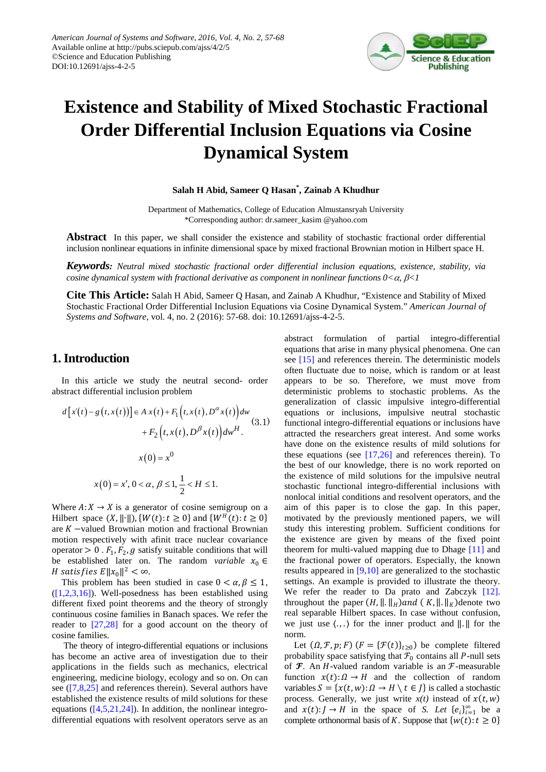

# **Existence and Stability of Mixed Stochastic Fractional Order Differential Inclusion Equations via Cosine Dynamical System**

**Salah H Abid, Sameer Q Hasan\* , Zainab A Khudhur**

Department of Mathematics, College of Education Almustansryah University \*Corresponding author: dr.sameer\_kasim @yahoo.com

**Abstract** In this paper, we shall consider the existence and stability of stochastic fractional order differential inclusion nonlinear equations in infinite dimensional space by mixed fractional Brownian motion in Hilbert space H.

*Keywords: Neutral mixed stochastic fractional order differential inclusion equations, existence, stability, via cosine dynamical system with fractional derivative as component in nonlinear functions*  $0<\alpha$ ,  $\beta<1$ 

**Cite This Article:** Salah H Abid, Sameer Q Hasan, and Zainab A Khudhur, "Existence and Stability of Mixed Stochastic Fractional Order Differential Inclusion Equations via Cosine Dynamical System." *American Journal of Systems and Software*, vol. 4, no. 2 (2016): 57-68. doi: 10.12691/ajss-4-2-5.

## **1. Introduction**

In this article we study the neutral second- order abstract differential inclusion problem

$$
d[x(t) - g(t, x(t))] \in A x(t) + F_1(t, x(t), D^{\alpha} x(t))dw
$$
  
+ 
$$
F_2(t, x(t), D^{\beta} x(t))dw^H.
$$
  

$$
x(0) = x^0
$$
  

$$
x(0) = x', 0 < \alpha, \beta \le 1, \frac{1}{2} < H \le 1.
$$

Where  $A: X \to X$  is a generator of cosine semigroup on a Hilbert space  $(X, \|\cdot\|)$ ,  $\{W(t): t \geq 0\}$  and  $\{W^H(t): t \geq 0\}$ are  $K$  –valued Brownian motion and fractional Brownian motion respectively with afinit trace nuclear covariance operator  $> 0$ .  $F_1, F_2, g$  satisfy suitable conditions that will be established later on. The random *variable*  $x_0 \in$ *H* satisfies  $E ||x_0||^2 < \infty$ .

This problem has been studied in case  $0 < \alpha, \beta \leq 1$ ,  $([1,2,3,16])$ . Well-posedness has been established using different fixed point theorems and the theory of strongly continuous cosine families in Banach spaces. We refer the reader to [\[27,28\]](#page-11-0) for a good account on the theory of cosine families.

The theory of integro-differential equations or inclusions has become an active area of investigation due to their applications in the fields such as mechanics, electrical engineering, medicine biology, ecology and so on. On can see [\(\[7,8,25\]](#page-10-1) and references therein). Several authors have established the existence results of mild solutions for these equations  $([4,5,21,24])$ . In addition, the nonlinear integrodifferential equations with resolvent operators serve as an abstract formulation of partial integro-differential equations that arise in many physical phenomena. One can see [\[15\]](#page-10-3) and references therein. The deterministic models often fluctuate due to noise, which is random or at least appears to be so. Therefore, we must move from deterministic problems to stochastic problems. As the generalization of classic impulsive integro-differential equations or inclusions, impulsive neutral stochastic functional integro-differential equations or inclusions have attracted the researchers great interest. And some works have done on the existence results of mild solutions for these equations (see  $[17,26]$  and references therein). To the best of our knowledge, there is no work reported on the existence of mild solutions for the impulsive neutral stochastic functional integro-differential inclusions with nonlocal initial conditions and resolvent operators, and the aim of this paper is to close the gap. In this paper, motivated by the previously mentioned papers, we will study this interesting problem. Sufficient conditions for the existence are given by means of the fixed point theorem for multi-valued mapping due to Dhage [\[11\]](#page-10-5) and the fractional power of operators. Especially, the known results appeared in [\[9,10\]](#page-10-6) are generalized to the stochastic settings. An example is provided to illustrate the theory. We refer the reader to Da prato and Zabczyk [\[12\].](#page-10-7) throughout the paper  $(H, \|\cdot\|_H)$  and  $(K, \|\cdot\|_K)$  denote two real separable Hilbert spaces. In case without confusion, we just use  $\langle ., . \rangle$  for the inner product and  $\| . \|$  for the norm.

Let  $(0, \mathcal{F}, p; F)$   $(F = {\mathcal{F}(t)}_{t>0})$  be complete filtered probability space satisfying that  $\mathcal{F}_0$  contains all P-null sets of  $\mathcal F$ . An H-valued random variable is an  $\mathcal F$ -measurable function  $x(t): \Omega \to H$  and the collection of random variables  $S = \{x(t, w): \Omega \to H \setminus t \in I\}$  is called a stochastic process. Generally, we just write  $x(t)$  instead of  $x(t, w)$ and  $x(t): J \rightarrow H$  in the space of *S. Let*  $\{e_i\}_{i=1}^{\infty}$  be a complete orthonormal basis of *K*. Suppose that  $\{w(t): t \geq 0\}$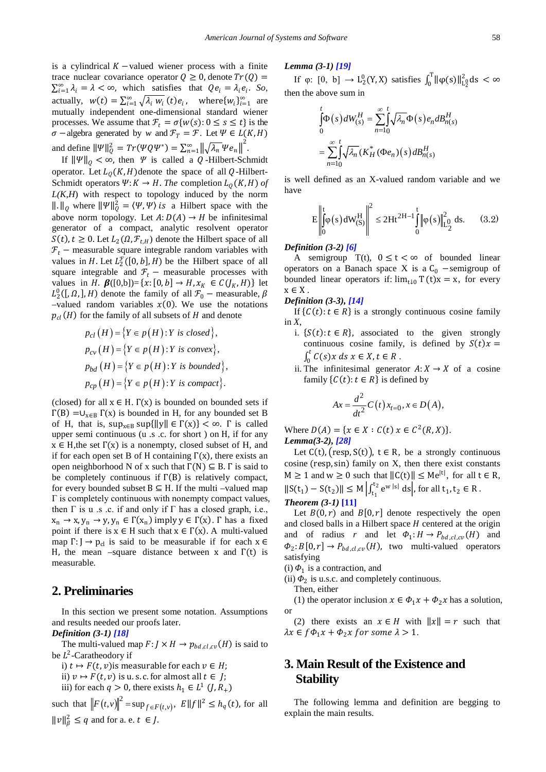is a cylindrical  $K$  –valued wiener process with a finite trace nuclear covariance operator  $Q \ge 0$ , denote  $Tr(Q)$  =  $\sum_{i=1}^{\infty} \lambda_i = \lambda < \infty$ , which satisfies that  $Qe_i = \lambda_i e_i$ . So, actually,  $w(t) = \sum_{i=1}^{\infty} \sqrt{\lambda_i} w_i(t) e_i$ , where $\{w_i\}_{i=1}^{\infty}$  are mutually independent one-dimensional standard wiener processes. We assume that  $\mathcal{F}_t = \sigma\{w(s): 0 \le s \le t\}$  is the  $\sigma$  −algebra generated by *w* and  $\mathcal{F}_T = \mathcal{F}$ . Let  $\Psi \in L(K, H)$ and define  $\|\Psi\|_{Q}^{2} = Tr(\Psi Q \Psi^{*}) = \sum_{n=1}^{\infty} \left\| \sqrt{\lambda_{n}} \Psi e_{n} \right\|^{2}$ .

If  $\|\Psi\|_0 < \infty$ , then  $\Psi$  is called a *Q*-Hilbert-Schmidt operator. Let  $L_0(K, H)$  denote the space of all Q-Hilbert-Schmidt operators  $\Psi: K \to H$ . *The* completion  $L_0(K, H)$  of  $L(K, H)$  with respect to topology induced by the norm  $\|\cdot\|_Q$  where  $\|\Psi\|_Q^2 = \langle \Psi, \Psi \rangle$  is a Hilbert space with the above norm topology. Let  $A: D(A) \rightarrow H$  be infinitesimal generator of a compact, analytic resolvent operator  $S(t)$ ,  $t \geq 0$ . Let  $L_2(\Omega, \mathcal{F}_{t,H})$  denote the Hilbert space of all  $F_t$  – measurable square integrable random variables with values in *H*. Let  $L_2^F([0, b], H)$  be the Hilbert space of all square integrable and  $\mathcal{F}_t$  – measurable processes with values in *H*.  $\beta([0,b]) = \{x: [0, b] \to H, x_K \in C(J_K, H)\}\$ let  $L_2^0([0, \Omega, ], H)$  denote the family of all  $\mathcal{F}_0$  – measurable,  $\beta$ –valued random variables  $x(0)$ . We use the notations  $p_{cl}(H)$  for the family of all subsets of H and denote

$$
p_{cl}(H) = \{ Y \in p(H) : Y \text{ is closed} \},
$$
  
\n
$$
p_{cv}(H) = \{ Y \in p(H) : Y \text{ is convex} \},
$$
  
\n
$$
p_{bd}(H) = \{ Y \in p(H) : Y \text{ is bounded} \},
$$
  
\n
$$
p_{cp}(H) = \{ Y \in p(H) : Y \text{ is compact} \}.
$$

(closed) for all  $x \in H$ .  $\Gamma(x)$  is bounded on bounded sets if  $\Gamma(B) = \cup_{x \in B} \Gamma(x)$  is bounded in H, for any bounded set B of H, that is,  $\sup_{x \in B} \sup_{x \in B} \|y\| \in \Gamma(x)$  <  $\infty$ .  $\Gamma$  is called upper semi continuous (u .s .c. for short ) on H, if for any  $x \in H$ , the set  $\Gamma(x)$  is a nonempty, closed subset of H, and if for each open set B of H containing  $\Gamma(x)$ , there exists an open neighborhood N of x such that  $\Gamma(N) \subseteq B$ . Γ is said to be completely continuous if  $\Gamma(B)$  is relatively compact, for every bounded subset  $B \subseteq H$ . If the multi –valued map  $\Gamma$  is completely continuous with nonempty compact values, then  $\Gamma$  is u .s .c. if and only if  $\Gamma$  has a closed graph, i.e.,  $x_n \to x$ ,  $y_n \to y$ ,  $y_n \in \Gamma(x_n)$  imply  $y \in \Gamma(x)$ .  $\Gamma$  has a fixed point if there is  $x \in H$  such that  $x \in \Gamma(x)$ . A multi-valued map  $\Gamma: J \to p_{cl}$  is said to be measurable if for each  $x \in$ H, the mean –square distance between x and  $\Gamma(t)$  is measurable*.*

### **2. Preliminaries**

In this section we present some notation. Assumptions and results needed our proofs later.

*Definition (3-1) [\[18\]](#page-10-8)*

The multi-valued map  $F: J \times H \to p_{bd, cl, cv}(H)$  is said to be  $L^2$ -Caratheodory if

i)  $t \mapsto F(t, v)$  is measurable for each  $v \in H$ ;

ii)  $v \mapsto F(t, v)$  is u. s. c. for almost all  $t \in J$ ;

iii) for each  $q > 0$ , there exists  $h_1 \in L^1$   $(J, R_+)$ 

such that  $||F(t,v)||^2 = \sup_{f \in F(t,v)}$ ,  $E||f||^2 \leq h_q(t)$ , for all  $||v||_{\beta}^2 \le q$  and for a. e.  $t \in J$ .

#### *Lemma (3-1) [\[19\]](#page-11-1)*

If  $\varphi$ :  $[0, b] \rightarrow L_2^0(Y, X)$  satisfies  $\int_0^T ||\varphi(s)||_{L_2^0}^2 ds < \infty$ then the above sum in

$$
\int_{0}^{t} \Phi(s) dW_{(s)}^{H} = \sum_{n=10}^{\infty} \int_{0}^{t} \sqrt{\lambda_{n}} \Phi(s) e_{n} dB_{n(s)}^{H}
$$
\n
$$
= \sum_{n=10}^{\infty} \int_{0}^{t} \sqrt{\lambda_{n}} (K_{H}^{*} (\Phi e_{n})(s) dB_{n(s)}^{H})
$$

is well defined as an X-valued random variable and we have

$$
E\left\| \int_{0}^{t} \varphi(s) dW_{(S)}^{H} \right\|^{2} \le 2Ht^{2H-1} \int_{0}^{t} \left\| \varphi(s) \right\|_{L_{2}^{0}}^{2} ds. \quad (3.2)
$$

#### *Definition (3-2) [\[6\]](#page-10-9)*

A semigroup T(t),  $0 \le t < \infty$  of bounded linear operators on a Banach space X is a  $C_0$  –semigroup of bounded linear operators if:  $\lim_{t\downarrow 0} T(t)x = x$ , for every  $x \in X$ .

#### *Definition (3-3), [\[14\]](#page-10-10)*

If  $\{C(t): t \in \mathbb{R}\}$  is a strongly continuous cosine family in *X*,

- i.  $\{S(t): t \in R\}$ , associated to the given strongly continuous cosine family, is defined by  $S(t)x =$  $\int_0^t C(s)x ds x \in X, t \in R$ .
- ii. The infinitesimal generator  $A: X \to X$  of a cosine family  $\{C(t): t \in R\}$  is defined by

$$
Ax = \frac{d^2}{dt^2}C(t)x_{t=0}, x \in D(A),
$$

Where  $D(A) = \{x \in X : C(t) \times C^2(R, X)\}.$ *Lemma(3-2), [\[28\]](#page-11-2)*

Let  $C(t)$ ,  $(resp, S(t))$ ,  $t \in R$ , be a strongly continuous cosine (resp, sin) family on X, then there exist constants  $M \ge 1$  and  $w \ge 0$  such that  $||C(t)|| \le Me^{|t|}$ , for all  $t \in R$ ,  $\|S(t_1) - S(t_2)\| \le M \left| \int_{t_1}^{t_2} e^{w |s|} ds \right|$ , for all  $t_1, t_2 \in R$ . *Theorem (3-1)* **[\[11\]](#page-10-5)**

Let  $B(0, r)$  and  $B[0, r]$  denote respectively the open and closed balls in a Hilbert space  $H$  centered at the origin and of radius *r* and let  $\Phi_1: H \to P_{bd, cl, cv}(H)$  and  $\Phi_2: B[0, r] \to P_{bd, cl, cv}(H)$ , two multi-valued operators satisfying

(i)  $\Phi_1$  is a contraction, and

(ii)  $\Phi_2$  is u.s.c. and completely continuous.

Then, either

(1) the operator inclusion  $x \in \Phi_1 x + \Phi_2 x$  has a solution, or

(2) there exists an  $x \in H$  with  $||x|| = r$  such that  $\lambda x \in f \Phi_1 x + \Phi_2 x$  for some  $\lambda > 1$ .

# **3. Main Result of the Existence and Stability**

The following lemma and definition are begging to explain the main results.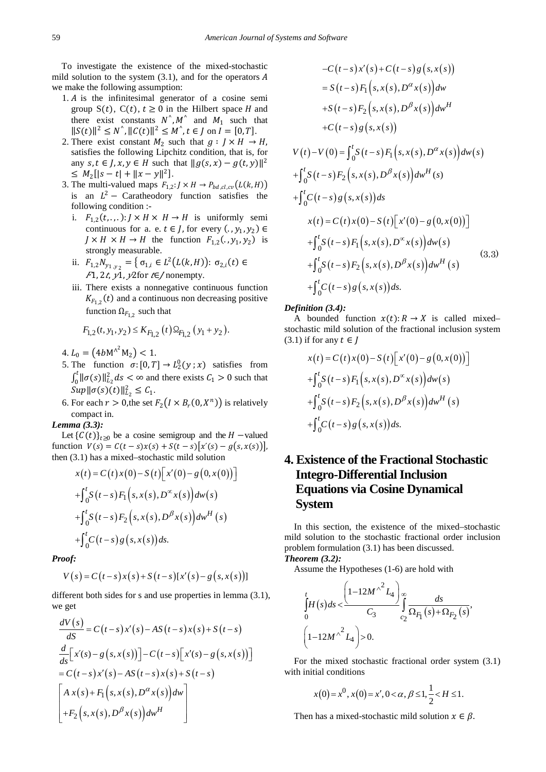To investigate the existence of the mixed-stochastic mild solution to the system  $(3.1)$ , and for the operators A we make the following assumption:

- $1. A$  is the infinitesimal generator of a cosine semigroup  $S(t)$ ,  $C(t)$ ,  $t \ge 0$  in the Hilbert space H and there exist constants  $N^{\wedge}, M^{\wedge}$  and  $M_1$  such that  $||S(t)||^2 \le N^{\hat{ }}$ ,  $||C(t)||^2 \le M^{\hat{ }}$ ,  $t \in J$  on  $I = [0, T].$
- 2. There exist constant  $M_2$  such that  $g: J \times H \to H$ , satisfies the following Lipchitz condition, that is, for any  $s, t \in J$ ,  $x, y \in H$  such that  $||g(s, x) - g(t, y)||^2$  $\leq M_2[|s-t| + \|x-y\|^2].$
- 3. The multi-valued maps  $F_{1,2}: J \times H \to P_{bd, cl, cv}(L(k, H))$ is an  $L^2$  – Caratheodory function satisfies the following condition :
	- i.  $F_{1,2}(t, \ldots)$ :  $J \times H \times H \rightarrow H$  is uniformly semi continuous for a. e.  $t \in J$ , for every  $(., y_1, y_2) \in$  $J \times H \times H \rightarrow H$  the function  $F_{1,2}(. , y_1, y_2)$  is strongly measurable.
	- ii.  $F_{1,2} N_{y_1 y_2} = \left\{ \sigma_{1,i} \in L^2(L(k, H)) : \sigma_{2,i}(t) \in \right\}$  $F1$ , 2*t*,  $y1$ ,  $y2$  for  $t \in$  nonempty.
	- iii. There exists a nonnegative continuous function  $K_{F_{1,2}}(t)$  and a continuous non decreasing positive function  $\Omega_{F_{1,2}}$  such that

$$
F_{1,2}(t, y_1, y_2) \le K_{F_{1,2}}(t) \Omega_{F_{1,2}}(y_1 + y_2).
$$

4.  $L_0 = (4bM^{\wedge^2}M_2) < 1.$ 

- 5. The function  $\sigma$ :  $[0, T] \rightarrow L_2^0(y; x)$  satisfies from  $\int_0^t ||\sigma(s)||_{L_2}^2 ds < \infty$  and there exists  $C_1 > 0$  such that  $Sup\|\sigma(s)(t)\|_{L_2}^2 \leq C_1.$
- 6. For each  $r > 0$ , the set  $F_2(I \times B_r(0, X^n))$  is relatively compact in.

#### *Lemma (3.3):*

Let  ${C(t)}_{t\geq0}$  be a cosine semigroup and the  $H$  –valued function  $V(s) = C(t - s)x(s) + S(t - s)[x'(s) - g(s, x(s))],$ then (3.1) has a mixed–stochastic mild solution

$$
x(t) = C(t)x(0) - S(t)[x'(0) - g(0, x(0))]
$$
  
+ 
$$
\int_{0}^{t} S(t-s) F_{1}(s, x(s), D^{\infty}x(s)) dw(s)
$$
  
+ 
$$
\int_{0}^{t} S(t-s) F_{2}(s, x(s), D^{\beta}x(s)) dw^{H}(s)
$$
  
+ 
$$
\int_{0}^{t} C(t-s) g(s, x(s)) ds.
$$

*Proof:*

$$
V(s) = C(t-s)x(s) + S(t-s)[x'(s) - g(s, x(s))]
$$

different both sides for s and use properties in lemma  $(3.1)$ , we get

$$
\frac{dV(s)}{dS} = C(t-s)x'(s) - AS(t-s)x(s) + S(t-s)
$$
\n
$$
\frac{d}{ds}[x(s) - g(s,x(s))] - C(t-s)[x'(s) - g(s,x(s))]
$$
\n
$$
= C(t-s)x'(s) - AS(t-s)x(s) + S(t-s)
$$
\n
$$
\begin{bmatrix} A x(s) + F_1(s, x(s), D^{\alpha} x(s)) dw \\ + F_2(s, x(s), D^{\beta} x(s)) dw^H \end{bmatrix}
$$

$$
-C(t-s)x'(s) + C(t-s)g(s, x(s))
$$
  
\n
$$
= S(t-s)F_1(s, x(s), D^{\alpha}x(s))dw
$$
  
\n
$$
+S(t-s)F_2(s, x(s), D^{\beta}x(s))dw^H
$$
  
\n
$$
+C(t-s)g(s, x(s))
$$
  
\n
$$
V(t)-V(0) = \int_0^t S(t-s)F_1(s, x(s), D^{\alpha}x(s))dw(s)
$$
  
\n
$$
+ \int_0^t S(t-s)F_2(s, x(s), D^{\beta}x(s))dw^H(s)
$$
  
\n
$$
+ \int_0^t C(t-s)g(s, x(s))ds
$$
  
\n
$$
x(t) = C(t)x(0) - S(t)[x'(0) - g(0, x(0))]
$$
  
\n
$$
+ \int_0^t S(t-s)F_1(s, x(s), D^{\alpha}x(s))dw(s)
$$
  
\n
$$
+ \int_0^t S(t-s)F_2(s, x(s), D^{\beta}x(s))dw^H(s)
$$
  
\n
$$
+ \int_0^t C(t-s)g(s, x(s))ds.
$$
  
\n(3.3)

#### *Definition (3.4):*

A bounded function  $x(t): R \to X$  is called mixed– stochastic mild solution of the fractional inclusion system  $(3.1)$  if for any  $t \in I$ 

$$
x(t) = C(t)x(0) - S(t)[x'(0) - g(0, x(0))]
$$
  
+ 
$$
\int_{0}^{t} S(t-s) F_{1}(s, x(s), D^{\infty}x(s)) dw(s)
$$
  
+ 
$$
\int_{0}^{t} S(t-s) F_{2}(s, x(s), D^{\beta}x(s)) dw^{H}(s)
$$
  
+ 
$$
\int_{0}^{t} C(t-s) g(s, x(s)) ds.
$$

# **4. Existence of the Fractional Stochastic Integro-Differential Inclusion Equations via Cosine Dynamical System**

In this section, the existence of the mixed–stochastic mild solution to the stochastic fractional order inclusion problem formulation (3.1) has been discussed. *Theorem (3.2):*

Assume the Hypotheses (1-6) are hold with

$$
\int_{0}^{t} H(s)ds < \frac{\left(1-12M^{\wedge^{2}}L_{4}\right)_{\infty}}{C_{3}} \int_{c_{2}}^{\infty} \frac{ds}{\Omega_{F_{1}}\left(s\right)+\Omega_{F_{2}}\left(s\right)},
$$
\n
$$
\left(1-12M^{\wedge^{2}}L_{4}\right) > 0.
$$

For the mixed stochastic fractional order system (3.1) with initial conditions

$$
x(0) = x^0, x(0) = x', 0 < \alpha, \beta \le 1, \frac{1}{2} < H \le 1.
$$

Then has a mixed-stochastic mild solution  $x \in \beta$ .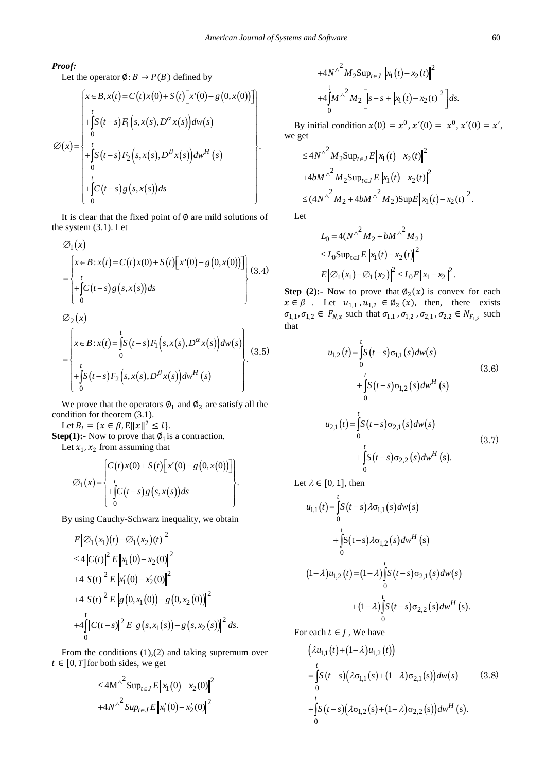#### *Proof:*

Let the operator  $\emptyset$ :  $B \rightarrow P(B)$  defined by

$$
\varnothing(x) = \begin{cases}\nx \in B, x(t) = C(t)x(0) + S(t)[x'(0) - g(0, x(0))] \\
+ \int_{0}^{t} S(t-s) F_1(s, x(s), D^{\alpha} x(s)) dw(s) \\
+ \int_{0}^{t} S(t-s) F_2(s, x(s), D^{\beta} x(s)) dw^H(s) \\
+ \int_{0}^{t} C(t-s) g(s, x(s)) ds\n\end{cases}.
$$

It is clear that the fixed point of  $\emptyset$  are mild solutions of the system (3.1). Let

$$
\varnothing_1(x)
$$
\n
$$
= \begin{cases}\nx \in B : x(t) = C(t)x(0) + S(t)[x'(0) - g(0,x(0))]] \\
+ \int_0^t C(t-s)g(s,x(s))ds \\
\varnothing_2(x) \\
= \begin{cases}\nx \in B : x(t) = \int_0^t S(t-s)F_1(s,x(s),D^\alpha x(s))dw(s) \\
0\n\end{cases} (3.5)\n\end{cases}
$$

We prove that the operators  $\emptyset_1$  and  $\emptyset_2$  are satisfy all the condition for theorem (3.1).

 $(t-s)F_2(s, x(s), D^{\rho} x(s))dw^{\mu}(s)$ 

 $\int_{-1}^{1} [S(t-s)F_{2}(s,x(s),D^{\beta}x(s))dw^{H}(s)]$  $\begin{bmatrix} 0 & \cdots & \cdots & \cdots & \cdots \end{bmatrix}$ 

 $\int_S^t S(t-s) F_2(s, x(s), D^{\beta} x(s)) dw^H$  (s

Let  $B_l = \{x \in \beta, E||x||^2 \le l\}.$ 

 $\boldsymbol{0}$ 

∫

**Step(1):-** Now to prove that  $\varphi_1$  is a contraction. Let  $x_1, x_2$  from assuming that

$$
\varnothing_1(x) = \begin{cases} C(t)x(0) + S(t)[x'(0) - g(0,x(0))]] \\ + \int_0^t C(t-s)g(s,x(s))ds \\ 0 \end{cases}.
$$

By using Cauchy-Schwarz inequality, we obtain

$$
E ||\varnothing_{1}(x_{1})(t) - \varnothing_{1}(x_{2})(t)||^{2}
$$
  
\n
$$
\leq 4 ||C(t)||^{2} E ||x_{1}(0) - x_{2}(0)||^{2}
$$
  
\n
$$
+ 4 ||S(t)||^{2} E ||x'_{1}(0) - x'_{2}(0)||^{2}
$$
  
\n
$$
+ 4 ||S(t)||^{2} E ||g(0, x_{1}(0)) - g(0, x_{2}(0)||^{2}
$$
  
\n
$$
+ 4 \int_{0}^{t} ||C(t - s)||^{2} E ||g(s, x_{1}(s)) - g(s, x_{2}(s)||^{2} ds.
$$

From the conditions (1),(2) and taking supremum over  $t \in [0, T]$  for both sides, we get

$$
\leq 4M^{\wedge^2} \sup_{t \in J} E \|x_1(0) - x_2(0)\|^2
$$
  
+4N<sup>\wedge^2</sup>  $\sup_{t \in J} E \|x'_1(0) - x'_2(0)\|^2$ 

$$
+4N^{\wedge^2} M_2 \sup_{t \in J} ||x_1(t) - x_2(t)||^2 +4 \int_0^t M^{\wedge^2} M_2 \Big[ |s - s| + ||x_1(t) - x_2(t)||^2 \Big] ds.
$$

By initial condition  $x(0) = x^0$ ,  $x'(0) = x^0$ ,  $x'(0) = x'$ , we get

$$
\leq 4N^{\wedge^2} M_2 \text{Sup}_{t \in J} E \|x_1(t) - x_2(t)\|^2
$$
  
+4bM^{\wedge^2} M\_2 \text{Sup}\_{t \in J} E \|x\_1(t) - x\_2(t)\|^2  

$$
\leq (4N^{\wedge^2} M_2 + 4bM^{\wedge^2} M_2) \text{Supp} E \|x_1(t) - x_2(t)\|^2.
$$

Let

$$
L_0 = 4(N^{\wedge^2} M_2 + bM^{\wedge^2} M_2)
$$
  
\n
$$
\leq L_0 \text{Sup}_{t \in J} E \left\| x_1(t) - x_2(t) \right\|^2
$$
  
\n
$$
E \left\| \mathcal{D}_1(x_1) - \mathcal{D}_1(x_2) \right\|^2 \leq L_0 E \left\| x_1 - x_2 \right\|^2.
$$

**Step (2):-** Now to prove that  $\phi_2(x)$  is convex for each  $x \in \beta$  . Let  $u_{1,1}$ ,  $u_{1,2} \in \emptyset_2(x)$ , then, there exists  $\sigma_{1,1}, \sigma_{1,2} \in F_{N,x}$  such that  $\sigma_{1,1}, \sigma_{1,2}, \sigma_{2,1}, \sigma_{2,2} \in N_{F_{1,2}}$  such that

$$
u_{1,2}(t) = \int_{0}^{t} S(t-s)\sigma_{1,1}(s)dw(s)
$$
  
\n
$$
+ \int_{0}^{t} S(t-s)\sigma_{1,2}(s)dw^{H}(s)
$$
  
\n
$$
u_{2,1}(t) = \int_{0}^{t} S(t-s)\sigma_{2,1}(s)dw(s)
$$
  
\n
$$
+ \int_{0}^{t} S(t-s)\sigma_{2,2}(s)dw^{H}(s).
$$
\n(3.7)

Let  $\lambda \in [0, 1]$ , then

$$
u_{1,1}(t) = \int_{0}^{t} S(t-s) \lambda \sigma_{1,1}(s) dw(s)
$$
  
+ 
$$
\int_{0}^{t} S(t-s) \lambda \sigma_{1,2}(s) dw^{H}(s)
$$
  

$$
(1-\lambda)u_{1,2}(t) = (1-\lambda) \int_{0}^{t} S(t-s) \sigma_{2,1}(s) dw(s)
$$
  
+ 
$$
(1-\lambda) \int_{0}^{t} S(t-s) \sigma_{2,2}(s) dw^{H}(s).
$$

For each  $t \in J$ , We have

$$
\begin{aligned} &\left(\lambda u_{1,1}(t) + (1 - \lambda)u_{1,2}(t)\right) \\ &= \int_{0}^{t} S\left(t - s\right) \left(\lambda \sigma_{1,1}(s) + (1 - \lambda) \sigma_{2,1}(s)\right) dw(s) \qquad (3.8) \\ &\quad + \int_{0}^{t} S\left(t - s\right) \left(\lambda \sigma_{1,2}(s) + (1 - \lambda) \sigma_{2,2}(s)\right) dw^{H}(s). \end{aligned}
$$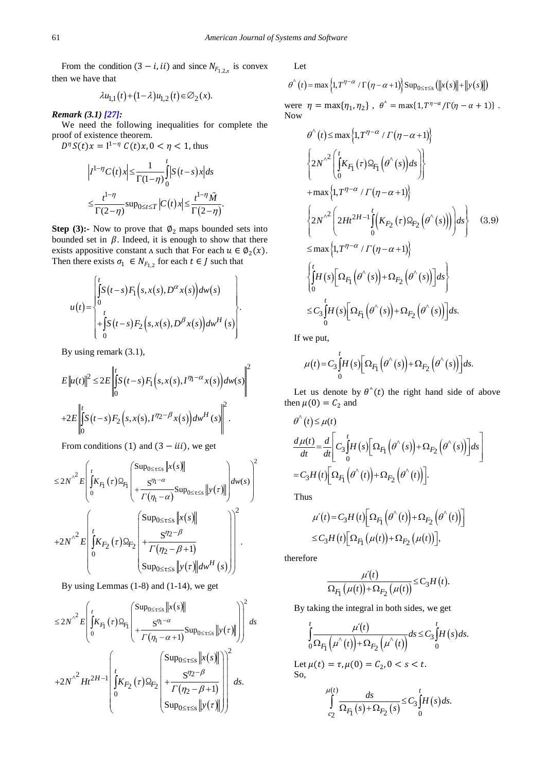From the condition  $(3 - i, ii)$  and since  $N_{F_{1,2,x}}$  is convex then we have that

$$
\lambda u_{1,1}(t) + (1 - \lambda)u_{1,2}(t) \in \mathcal{D}_2(x).
$$

*Remark (3.1[\) \[27\]:](#page-11-0)*

We need the following inequalities for complete the proof of existence theorem.

 $D^{\eta} S(t)x = I^{1-\eta} C(t)x, 0 < \eta < 1$ , thus

$$
\left| I^{1-\eta} C(t) x \right| \leq \frac{1}{\Gamma(1-\eta)} \int_{0}^{t} \left| S(t-s) x \right| ds
$$
  

$$
\leq \frac{t^{1-\eta}}{\Gamma(2-\eta)} \sup_{0 \leq t \leq T} \left| C(t) x \right| \leq \frac{t^{1-\eta} \tilde{M}}{\Gamma(2-\eta)}.
$$

**Step (3):-** Now to prove that  $\phi_2$  maps bounded sets into bounded set in  $\beta$ . Indeed, it is enough to show that there exists appositive constant  $\Lambda$  such that For each  $u \in \varnothing_2(x)$ . Then there exists  $\sigma_1 \in N_{F_{1,2}}$  for each  $t \in J$  such that

$$
u(t) = \begin{cases} \int_{0}^{t} S(t-s) F_1(s, x(s), D^{\alpha} x(s)) dw(s) \\ 0 \\ + \int_{0}^{t} S(t-s) F_2(s, x(s), D^{\beta} x(s)) dw^H(s) \end{cases}.
$$

By using remark (3.1),

$$
E\left\|u(t)\right\|^2 \le 2E\left\| \int_0^t S(t-s)F_1\left(s, x(s), I^{\eta_1 - \alpha} x(s)\right) dw(s)\right\|^2
$$
  
+2E\left\| \int\_0^t S(t-s)F\_2\left(s, x(s), I^{\eta\_2 - \beta} x(s)\right) dw^H(s)\right\|^2.

From conditions (1) and  $(3 - iii)$ , we get

$$
\leq 2N^{2}\sum \limits_{i=1}^{n} \left( \int_{0}^{t} K_{F_{1}}(\tau) \Omega_{F_{1}}\left(\frac{\sup_{0 \leq \tau \leq s} \left\|x(s)\right\|}{\tau(\eta_{1}-\alpha)} \sup_{0 \leq \tau \leq s} \left\|y(\tau)\right\| \right) d w(s) \right)^{2}
$$

$$
+ 2N^{2}\sum \limits_{i=1}^{n} \left( \int_{0}^{t} K_{F_{2}}(\tau) \Omega_{F_{2}}\left(\frac{\sup_{0 \leq \tau \leq s} \left\|x(s)\right\|}{\tau(\eta_{2}-\beta+1)}\right) d w^{H}(s) \right)^{2}
$$

$$
\leq \sup_{0 \leq \tau \leq s} \left\|y(\tau)\right| d w^{H}(s)
$$

By using Lemmas (1-8) and (1-14), we get

$$
\leq 2N^{2}\sum E \left( \int_{0}^{t} K_{F_1}(\tau) \Omega_{F_1} \left( \frac{\sup_{0 \leq \tau \leq s} \|x(s)\|}{\tau(\eta_1 - \alpha + 1)} \sup_{0 \leq \tau \leq s} \|y(\tau)\| \right) \right)^2 ds
$$
  
+2N^{2}\left( Ht^{2H-1} \left( \int\_{0}^{t} K\_{F\_2}(\tau) \Omega\_{F\_2} \left( \frac{\sup\_{0 \leq \tau \leq s} \|x(s)\|}{\tau(\eta\_2 - \beta + 1)} \right) \right)^2 ds.  
Sup<sub>0 \leq \tau \leq s</sub>  $||y(\tau)||$ 

Let

$$
\theta^{(0)}(t) = \max\left\{1, T^{1-\alpha} / \Gamma(\eta - \alpha + 1)\right\} \sup_{0 \leq \tau \leq s} \left( \left\|x(s)\right\| + \left\|y(s)\right\|\right)
$$

were  $\eta = \max{\eta_1, \eta_2}$ ,  $\theta^* = \max{1, T^{\eta - \alpha}/\Gamma(\eta - \alpha + 1)}$ . Now

$$
\theta^{\wedge}(t) \leq \max\left\{1, T^{\eta-\alpha} / \Gamma(\eta-\alpha+1)\right\}
$$
\n
$$
\left\{2N^{\wedge 2}\left(\int_{0}^{t} K_{F_1}(\tau) \Omega_{F_1}(\theta^{\wedge}(s))ds\right)\right\}
$$
\n
$$
+\max\left\{1, T^{\eta-\alpha} / \Gamma(\eta-\alpha+1)\right\}
$$
\n
$$
\left\{2N^{\wedge 2}\left(2Ht^{2H-1}\int_{0}^{t} \left(K_{F_2}(\tau) \Omega_{F_2}(\theta^{\wedge}(s))\right)\right)ds\right\} \quad (3.9)
$$
\n
$$
\leq \max\left\{1, T^{\eta-\alpha} / \Gamma(\eta-\alpha+1)\right\}
$$
\n
$$
\left\{\int_{0}^{t} H(s) \left[\Omega_{F_1}(\theta^{\wedge}(s)) + \Omega_{F_2}(\theta^{\wedge}(s))\right]ds\right\}
$$
\n
$$
\leq C_3 \int_{0}^{t} H(s) \left[\Omega_{F_1}(\theta^{\wedge}(s)) + \Omega_{F_2}(\theta^{\wedge}(s))\right]ds.
$$

If we put,

$$
\mu(t) = C_3 \int_0^t H(s) \left[ \Omega_{F_1} \left( \theta^{\wedge}(s) \right) + \Omega_{F_2} \left( \theta^{\wedge}(s) \right) \right] ds.
$$

Let us denote by  $\theta^{\wedge}(t)$  the right hand side of above then  $\mu(0) = C_2$  and

$$
\theta^{\wedge}(t) \leq \mu(t)
$$
\n
$$
\frac{d\mu(t)}{dt} = \frac{d}{dt} \left[ C_3 \int_0^t H(s) \left[ \Omega_{F_1} \left( \theta^{\wedge}(s) \right) + \Omega_{F_2} \left( \theta^{\wedge}(s) \right) \right] ds \right]
$$
\n
$$
= C_3 H(t) \left[ \Omega_{F_1} \left( \theta^{\wedge}(t) \right) + \Omega_{F_2} \left( \theta^{\wedge}(t) \right) \right].
$$

Thus

$$
\mu'(t) = C_3 H(t) \Big[ \Omega_{F_1} \Big( \theta^{\wedge}(t) \Big) + \Omega_{F_2} \Big( \theta^{\wedge}(t) \Big) \Big]
$$
  

$$
\leq C_3 H(t) \Big[ \Omega_{F_1} \Big( \mu(t) \Big) + \Omega_{F_2} \Big( \mu(t) \Big) \Big],
$$

therefore

$$
\frac{\mu'(t)}{\Omega_{F_1}(\mu(t)) + \Omega_{F_2}(\mu(t))} \leq C_3 H(t).
$$

By taking the integral in both sides, we get

$$
\int_{0}^{t} \frac{\mu'(t)}{\Omega_{F_1}(\mu^{(t)}) + \Omega_{F_2}(\mu^{(t)})} ds \leq C_3 \int_{0}^{t} H(s) ds.
$$

Let  $\mu(t) = \tau, \mu(0) = C_2, 0 < s < t$ . So,

$$
\int_{c_2}^{\mu(t)} \frac{ds}{\Omega_{F_1}(s) + \Omega_{F_2}(s)} \leq C_3 \int_0^t H(s) ds.
$$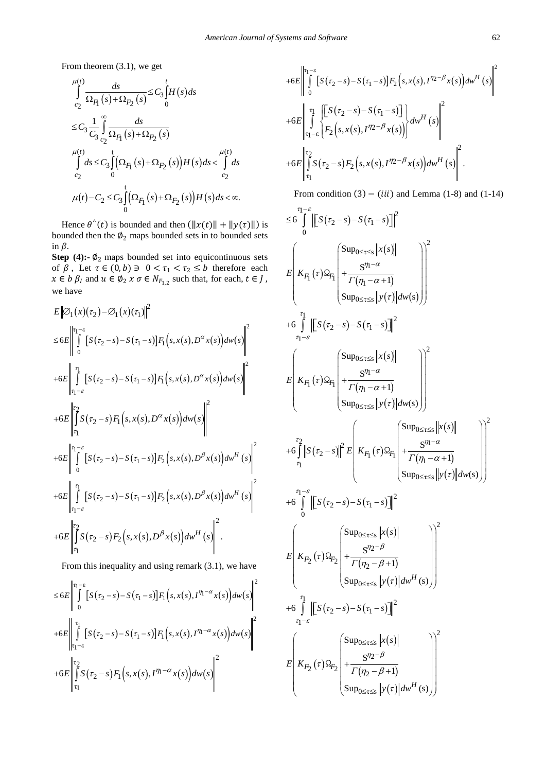From theorem (3.1), we get

$$
\int_{c_2}^{\mu(t)} \frac{ds}{\Omega_{F_1}(s) + \Omega_{F_2}(s)} \leq C_3 \int_0^t H(s) ds
$$
\n
$$
\leq C_3 \frac{1}{C_3} \int_{c_2}^{\infty} \frac{ds}{\Omega_{F_1}(s) + \Omega_{F_2}(s)}
$$
\n
$$
\int_{c_2}^{\mu(t)} ds \leq C_3 \int_0^t (\Omega_{F_1}(s) + \Omega_{F_2}(s)) H(s) ds < \int_{c_2}^{\mu(t)} ds
$$
\n
$$
\mu(t) - C_2 \leq C_3 \int_0^t (\Omega_{F_1}(s) + \Omega_{F_2}(s)) H(s) ds < \infty.
$$

Hence  $\theta'(t)$  is bounded and then  $(\Vert x(t)\Vert + \Vert y(\tau)\Vert)$  is bounded then the  $\phi_2$  maps bounded sets in to bounded sets in  $\beta$ .

**Step (4):-** $\phi_2$  maps bounded set into equicontinuous sets of  $\beta$ , Let  $\tau \in (0, b) \ni 0 < \tau_1 < \tau_2 \leq b$  therefore each  $x \in b$   $\beta_l$  and  $u \in \emptyset_2$   $x \sigma \in N_{F_{1,2}}$  such that, for each,  $t \in J$ , we have

$$
E ||\varnothing_{1}(x)(\tau_{2}) - \varnothing_{1}(x)(\tau_{1})||^{2}
$$
  
\n
$$
\leq 6E \left || \int_{0}^{\tau_{1}-\varepsilon} [S(\tau_{2}-s) - S(\tau_{1}-s)] F_{1}(s,x(s),D^{\alpha}x(s)) dw(s) \right||^{2}
$$
  
\n+6E  $\left || \int_{\tau_{1}-\varepsilon}^{\tau_{1}} [S(\tau_{2}-s) - S(\tau_{1}-s)] F_{1}(s,x(s),D^{\alpha}x(s)) dw(s) \right||^{2}$   
\n+6E  $\left || \int_{\tau_{1}}^{\tau_{2}} [S(\tau_{2}-s) F_{1}(s,x(s),D^{\alpha}x(s)) dw(s) \right||^{2}$   
\n+6E  $\left || \int_{0}^{\tau_{1}-\varepsilon} [S(\tau_{2}-s) - S(\tau_{1}-s)] F_{2}(s,x(s),D^{\beta}x(s)) dw^{H}(s) \right||^{2}$   
\n+6E  $\left || \int_{\tau_{1}-\varepsilon}^{\tau_{1}} [S(\tau_{2}-s) - S(\tau_{1}-s)] F_{2}(s,x(s),D^{\beta}x(s)) dw^{H}(s) \right||^{2}$   
\n+6E  $\left || \int_{\tau_{1}-\varepsilon}^{\tau_{2}} S(\tau_{2}-s) F_{2}(s,x(s),D^{\beta}x(s)) dw^{H}(s) \right||^{2}$ .

From this inequality and using remark (3.1), we have

$$
\leq 6E \left\| \int_{0}^{\tau_1-\varepsilon} [S(\tau_2-s)-S(\tau_1-s)] F_1(s,x(s),I^{\eta_1-\alpha}x(s)) dw(s) \right\|^2
$$
  
+6E 
$$
\left\| \int_{\tau_1-\varepsilon}^{\tau_1} [S(\tau_2-s)-S(\tau_1-s)] F_1(s,x(s),I^{\eta_1-\alpha}x(s)) dw(s) \right\|^2
$$
  
+6E 
$$
\left\| \int_{\tau_1}^{\tau_2} S(\tau_2-s) F_1(s,x(s),I^{\eta_1-\alpha}x(s)) dw(s) \right\|^2
$$

$$
+6E\left\|\int_{0}^{\tau_{1}-\varepsilon}\left[S(\tau_{2}-s)-S(\tau_{1}-s)\right]F_{2}(s,x(s),I^{\eta_{2}-\beta}x(s))dw^{H}(s)\right\|^{2}
$$
  
+6E\left\|\int\_{\tau\_{1}-\varepsilon}^{\tau\_{1}}\left[\int\_{\tau\_{2}}^{S}(\tau\_{2}-s)-S(\tau\_{1}-s)\right] \right\}dw^{H}(s)\right\|^{2}  
+6E\left\|\int\_{\tau\_{1}}^{\tau\_{2}}S(\tau\_{2}-s)F\_{2}(s,x(s),I^{\eta\_{2}-\beta}x(s))dw^{H}(s)\right\|^{2}.

From condition  $(3) - (iii)$  and Lemma (1-8) and (1-14)

$$
\leq 6 \int_{0}^{\tau_{1}-\varepsilon} \|\left[S(\tau_{2}-s)-S(\tau_{1}-s)\right]\|^{2}
$$
\n
$$
\leq 6 \int_{0}^{\tau_{1}-\varepsilon} \|\left[S(\tau_{2}-s)-S(\tau_{1}-s)\right]\|^{2}
$$
\n
$$
\leq \left(K_{F_{1}}(\tau) \Omega_{F_{1}} \left(\frac{S(\tau_{1}-\alpha)}{\tau(\eta_{1}-\alpha+1)}\right) \frac{S(\tau_{1}-\alpha)}{S(\tau_{1}-\alpha+1)}\right) \frac{S(\tau_{1}-\alpha)}{\tau_{1}-\varepsilon}
$$
\n
$$
\leq 6 \int_{\tau_{1}-\varepsilon}^{\tau_{1}} \|\left[S(\tau_{2}-s)-S(\tau_{1}-s)\right]\|^{2}
$$
\n
$$
\leq 6 \int_{\tau_{1}-\varepsilon}^{\tau_{1}} \|\left[S(\tau_{2}-s)-S(\tau_{1}-s)\right]\|^{2}
$$
\n
$$
\leq 6 \int_{\tau_{1}-\varepsilon}^{\tau_{1}-\varepsilon} \|\left(K_{F_{1}}(\tau) \Omega_{F_{1}} \left(\frac{S(\tau_{1}-\alpha)}{\tau(\eta_{1}-\alpha+1)}\right)\right) \frac{S(\tau_{1}-\alpha)}{S(\tau_{1}-\varepsilon)} \frac{S(\tau_{1}-\alpha)}{S(\tau_{1}-\varepsilon)} \frac{S(\tau_{1}-\alpha)}{S(\tau_{1}-\varepsilon+1)} \frac{S(\tau_{1}-\alpha)}{S(\tau_{1}-\varepsilon+1)} \frac{S(\tau_{1}-\alpha)}{S(\tau_{1}-\varepsilon+1)} \frac{S(\tau_{1}-\alpha)}{S(\tau_{1}-\varepsilon+1)} \frac{S(\tau_{2}-\beta)}{S(\tau_{1}-\varepsilon+1)} \frac{S(\tau_{2}-\beta)}{S(\tau_{1}-\varepsilon+1)} \frac{S(\tau_{2}-\beta)}{S(\tau_{1}-\varepsilon+1)} \frac{S(\tau_{2}-\beta)}{S(\tau_{1}-\varepsilon+1)} \frac{S(\tau_{2}-\beta)}{S(\tau_{1}-\varepsilon+1)} \frac{S(\tau_{2}-\beta)}{S(\tau_{1}-\varepsilon+1)} \frac{S(\tau_{2}-\beta)}{S(\tau_{1}-\varepsilon+1)} \frac{S(\tau_{2}-\beta)}{S(\tau_{1
$$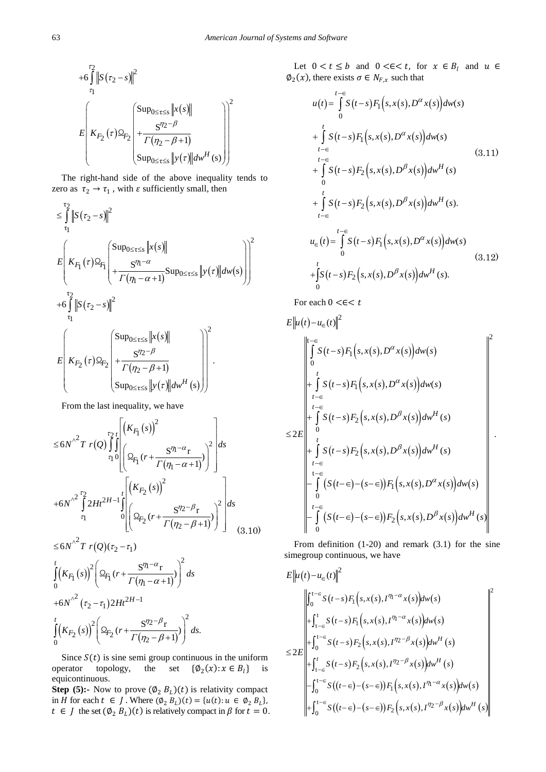$$
+6\int_{\tau_1}^{\tau_2} \left\| S(\tau_2 - s) \right\|^2
$$
  

$$
E\left\{ K_{F_2}(\tau) \Omega_{F_2} \left( \frac{\sup_{0 \le \tau \le s} \left\| x(s) \right\|}{\tau(\eta_2 - \beta + 1)} \right) \right\}^2
$$
  

$$
\left\{ \sup_{0 \le \tau \le s} \left\| y(\tau) \right\| dw^H(s) \right\}
$$

The right-hand side of the above inequality tends to zero as  $\tau_2 \rightarrow \tau_1$ , with  $\varepsilon$  sufficiently small, then

$$
\leq \int_{\tau_1}^{\tau_2} \|S(\tau_2 - s)\|^2
$$
\n
$$
E\left(K_{F_1}(\tau) \Omega_{F_1}\left(\frac{\sup_{0 \leq \tau \leq s} \|x(s)\|}{\tau(\eta_1 - \alpha + 1)} \sup_{0 \leq \tau \leq s} \|y(\tau)\| d w(s)\right)\right)^2
$$
\n
$$
+ 6 \int_{\tau_1}^{\tau_2} \|S(\tau_2 - s)\|^2
$$
\n
$$
E\left(K_{F_2}(\tau) \Omega_{F_2}\left(\frac{\sup_{0 \leq \tau \leq s} \|x(s)\|}{\tau(\eta_2 - \beta + 1)}\right)\right)^2
$$
\n
$$
\leq \sup_{0 \leq \tau \leq s} \|y(\tau)\| d w^H(s)\right)^2
$$

From the last inequality, we have

$$
\leq 6N^{2} Tr(Q) \int_{\tau_1}^{\tau_2 t} \left| \left( K_{F_1}(s) \right)^2 \right| ds
$$
  
\n
$$
+ 6N^{2} \int_{\tau_1}^{\tau_2 t} 2Ht^{2H-1} \int_{0}^{t} \left| \left( K_{F_2}(s) \right)^2 \right| ds
$$
  
\n
$$
+ 6N^{2} \int_{\tau_1}^{\tau_2} 2Ht^{2H-1} \int_{0}^{t} \left| \left( K_{F_2}(s) \right)^2 \right| ds
$$
  
\n
$$
\leq 6N^{2} Tr(Q)(\tau_2 - \tau_1)
$$

$$
\int_{0}^{t} (K_{F_1}(s))^2 \left( \Omega_{F_1}(r + \frac{S^{\eta_1 - \alpha}r}{\Gamma(\eta_1 - \alpha + 1)}) \right)^2 ds
$$
  
+6N<sup>2</sup>  $(\tau_2 - \tau_1) 2Ht^{2H-1}$   

$$
\int_{0}^{t} (K_{F_2}(s))^2 \left( \Omega_{F_2}(r + \frac{S^{\eta_2 - \beta}r}{\Gamma(\eta_2 - \beta + 1)}) \right)^2 ds.
$$

Since  $S(t)$  is sine semi group continuous in the uniform operator topology, the set  $\{\emptyset_2(x): x \in B_l\}$  is equicontinuous.

**Step (5):-** Now to prove  $(\emptyset_2 B_L)(t)$  is relativity compact in *H* for each  $t \in J$ . Where  $(\emptyset_2 B_L)(t) = \{u(t): u \in \emptyset_2 B_L\}$ ,  $t \in J$  the set  $(\emptyset_2 B_L)(t)$  is relatively compact in  $\beta$  for  $t = 0$ .

Let  $0 < t \le b$  and  $0 < \in < t$ , for  $x \in B_l$  and  $u \in$  $\varphi_2(x)$ , there exists  $\sigma \in N_{F,x}$  such that

$$
u(t) = \int_{0}^{t-\epsilon} S(t-s) F_1(s, x(s), D^{\alpha} x(s)) dw(s)
$$
  
+ 
$$
\int_{t-\epsilon}^{t} S(t-s) F_1(s, x(s), D^{\alpha} x(s)) dw(s)
$$
  
+ 
$$
\int_{t-\epsilon}^{t-\epsilon} S(t-s) F_2(s, x(s), D^{\beta} x(s)) dw^H(s)
$$
  
+ 
$$
\int_{t-\epsilon}^{t} S(t-s) F_2(s, x(s), D^{\beta} x(s)) dw^H(s).
$$
  
+ 
$$
u_{\epsilon}(t) = \int_{0}^{t-\epsilon} S(t-s) F_1(s, x(s), D^{\alpha} x(s)) dw(s)
$$
  
+ 
$$
\int_{0}^{t} S(t-s) F_2(s, x(s), D^{\beta} x(s)) dw^H(s).
$$
  
(3.12)

For each  $0 \leq \in < t$ 

$$
E ||u(t)-u_{\in}(t)||^{2}
$$
\n
$$
\leq |u(t)-u_{\in}(t)||^{2}
$$
\n
$$
= \int_{t-\infty}^{\left| t-\infty \right|} S(t-s) F_{1}(s,x(s),D^{\alpha}x(s)) dw(s)
$$
\n
$$
\leq 2E \left ||\int_{t-\infty}^{t-\infty} S(t-s) F_{2}(s,x(s),D^{\beta}x(s)) dw^{H}(s) + \int_{t-\infty}^{t} S(t-s) F_{2}(s,x(s),D^{\beta}x(s)) dw^{H}(s)
$$
\n
$$
= \int_{t-\infty}^{t} [S(t-s) F_{2}(s,x(s),D^{\beta}x(s)) dw^{H}(s)] dw(s)
$$
\n
$$
= \int_{0}^{t-\infty} [S(t-\infty) - (s-\infty)] F_{2}(s,x(s),D^{\beta}x(s)) dw^{H}(s)
$$

From definition (1-20) and remark (3.1) for the sine simegroup continuous, we have

$$
E ||u(t) - u_{\in}(t)||^{2}
$$
\n
$$
\leq 2E \left ||\int_{t-\infty}^{t-\infty} S(t-s) F_{1}(s,x(s),t^{n_{1}-\alpha}x(s)) dw(s) + \int_{t-\infty}^{t-\infty} S(t-s) F_{1}(s,x(s),t^{n_{1}-\alpha}x(s)) dw(s) + \int_{t-\infty}^{t-\infty} S(t-s) F_{2}(s,x(s),t^{n_{2}-\beta}x(s)) dw^{H}(s) + \int_{t-\infty}^{t-\infty} S(t-s) F_{2}(s,x(s),t^{n_{2}-\beta}x(s)) dw^{H}(s) + \int_{0}^{t-\infty} S((t-\in) - (s-\in) ) F_{1}(s,x(s),t^{n_{1}-\alpha}x(s)) dw(s) + \int_{0}^{t-\infty} S((t-\in) - (s-\in) ) F_{2}(s,x(s),t^{n_{2}-\beta}x(s)) dw^{H}(s) \right ||
$$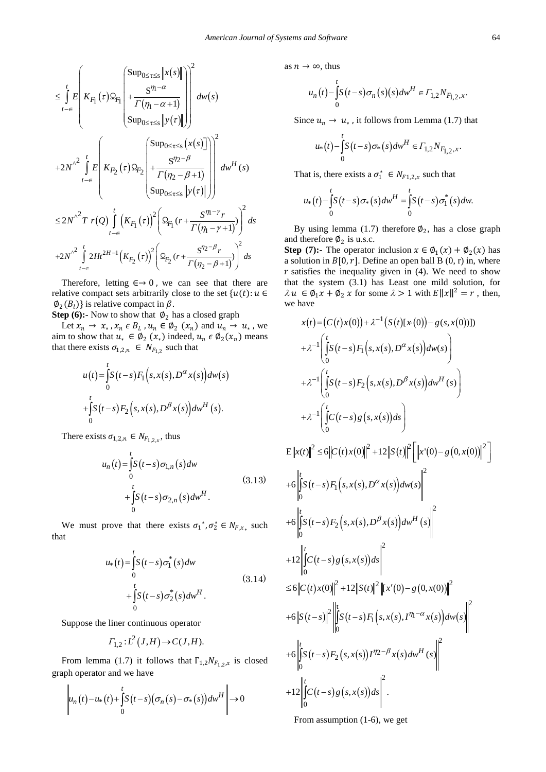$$
\leq \int_{t-\epsilon}^{t} E\left| K_{F_1}(\tau) \Omega_{F_1} \left( \frac{Sup_{0 \leq \tau \leq s} \left\| x(s) \right\|}{\Gamma(\eta_1 - \alpha + 1)} \right) \right|^2 d w(s)
$$
\n
$$
+ 2N^{\lambda^2} \int_{t-\epsilon}^{t} E\left| K_{F_2}(\tau) \Omega_{F_2} \left( \frac{Sup_{0 \leq \tau \leq s} \left( x(s) \right)}{\Gamma(\eta_2 - \beta + 1)} \right) \right|^2 d w^H(s)
$$
\n
$$
\leq 2N^{\lambda^2} T r(Q) \int_{t-\epsilon}^{t} (K_{F_1}(\tau))^2 \left( \Omega_{F_1}(\tau) + \frac{S^{\eta_1 - \gamma} r}{\Gamma(\eta_1 - \gamma + 1)} \right)^2 ds
$$
\n
$$
+ 2N^{\lambda^2} \int_{t-\epsilon}^{t} 2H t^{2H-1} (K_{F_2}(\tau))^2 \left( \Omega_{F_2}(\tau) + \frac{S^{\eta_2 - \beta} r}{\Gamma(\eta_2 - \beta + 1)} \right)^2 ds
$$
\n
$$
= 2N^{\lambda^2} \int_{t-\epsilon}^{t} 2H t^{2H-1} (K_{F_2}(\tau))^2 \left( \Omega_{F_2}(\tau) + \frac{S^{\eta_2 - \beta} r}{\Gamma(\eta_2 - \beta + 1)} \right)^2 ds
$$

Therefore, letting  $\epsilon \rightarrow 0$ , we can see that there are relative compact sets arbitrarily close to the set  ${u(t): u \in \mathbb{R}^n}$  $\varphi_2(B_l)$  is relative compact in  $\beta$ .

**Step (6):-** Now to show that  $\varnothing_2$  has a closed graph

Let  $x_n \to x_*$ ,  $x_n \in B_L$ ,  $u_n \in \emptyset_2$   $(x_n)$  and  $u_n \to u_*$ , we aim to show that  $u_* \in \emptyset_2(x_*)$  indeed,  $u_n \in \emptyset_2(x_n)$  means that there exists  $\sigma_{1,2,n} \in N_{F_{1,2}}$  such that

$$
u(t) = \int_{0}^{t} S(t-s) F_1(s, x(s), D^{\alpha} x(s)) dw(s)
$$
  
+
$$
\int_{0}^{t} S(t-s) F_2(s, x(s), D^{\beta} x(s)) dw^H(s).
$$

There exists  $\sigma_{1,2,n} \in N_{F_{1,2,x}}$ , thus

$$
u_n(t) = \int_0^t S(t-s)\sigma_{1,n}(s)dw
$$
  
+
$$
\int_0^t S(t-s)\sigma_{2,n}(s)dw^H.
$$
 (3.13)

We must prove that there exists  $\sigma_1^*, \sigma_2^* \in N_{F,x_*}$  such that

$$
u_{*}(t) = \int_{0}^{t} S(t-s)\sigma_{1}^{*}(s)dw
$$
  
+
$$
\int_{0}^{t} S(t-s)\sigma_{2}^{*}(s)dw^{H}.
$$
 (3.14)

Suppose the liner continuous operator

$$
\varGamma_{1,2}: L^2(J,H) \to C(J,H).
$$

From lemma (1.7) it follows that  $\Gamma_{1,2}N_{F_{1,2},x}$  is closed graph operator and we have

$$
\left\| u_n(t) - u_*\left(t\right) + \int_0^t S\left(t - s\right) \left(\sigma_n\left(s\right) - \sigma_*(s)\right) dw^H \right\| \to 0
$$

as  $n \to \infty$ , thus

$$
u_n(t) - \int_0^t S(t-s)\sigma_n(s)(s)dw^H \in \Gamma_{1,2}N_{F_{1,2},x}.
$$

Since  $u_n \to u_*$ , it follows from Lemma (1.7) that

$$
u_{*}(t) - \int_{0}^{t} S(t-s)\sigma_{*}(s)dw^{H} \in \Gamma_{1,2}N_{F_{1,2},x}.
$$

That is, there exists a  $\sigma_1^* \in N_{F1,2,x}$  such that

$$
u_{*}(t) - \int_{0}^{t} S(t-s) \sigma_{*}(s) dw^{H} = \int_{0}^{t} S(t-s) \sigma_{1}^{*}(s) dw.
$$

By using lemma (1.7) therefore  $\phi_2$ , has a close graph and therefore  $\varnothing_2$  is u.s.c.

**Step (7):-** The operator inclusion  $x \in \emptyset_1(x) + \emptyset_2(x)$  has a solution in  $B[0, r]$ . Define an open ball B (0, r) in, where  $r$  satisfies the inequality given in (4). We need to show that the system (3.1) has Least one mild solution, for  $\lambda u \in \emptyset_1 x + \emptyset_2 x$  for some  $\lambda > 1$  with  $E||x||^2 = r$ , then, we have

$$
x(t) = (C(t)x(0)) + \lambda^{-1} (S(t)[x(0)) - g(s, x(0))]
$$
  
\n
$$
+ \lambda^{-1} \left( \int_{0}^{t} S(t-s) F_{1}(s, x(s), D^{\alpha} x(s)) d w(s) \right)
$$
  
\n
$$
+ \lambda^{-1} \left( \int_{0}^{t} S(t-s) F_{2}(s, x(s), D^{\beta} x(s)) d w^{H}(s) \right)
$$
  
\n
$$
+ \lambda^{-1} \left( \int_{0}^{t} C(t-s) g(s, x(s)) ds \right)
$$
  
\n
$$
= ||x(t)||^{2} \leq 6 ||C(t)x(0)||^{2} + 12 ||S(t)||^{2} [||x'(0) - g(0, x(0))||^{2} ]
$$
  
\n
$$
+ 6 \left\| \int_{0}^{t} S(t-s) F_{1}(s, x(s), D^{\alpha} x(s)) d w(s) \right\|^{2}
$$
  
\n
$$
+ 6 \left\| \int_{0}^{t} S(t-s) F_{2}(s, x(s), D^{\beta} x(s)) d w^{H}(s) \right\|^{2}
$$
  
\n
$$
+ 12 \left\| \int_{0}^{t} C(t-s) g(s, x(s)) ds \right\|^{2}
$$
  
\n
$$
\leq 6 ||C(t)x(0)||^{2} + 12 ||S(t)||^{2} ||x'(0) - g(0, x(0))||^{2}
$$
  
\n
$$
+ 6 ||S(t-s)||^{2} ||[S(t-s) F_{1}(s, x(s), I^{\eta_{1}-\alpha} x(s)) d w(s) ||^{2}
$$
  
\n
$$
+ 12 ||[C(t-s) F_{2}(s, x(s)) I^{\eta_{2}-\beta} x(s) d w^{H}(s) ||^{2}
$$
  
\n
$$
+ 12 ||[C(t-s) F_{2}(s, x(s)) J^{\eta_{2}-\beta} x(s) d w^{H}(s) ||^{2}
$$

From assumption (1-6), we get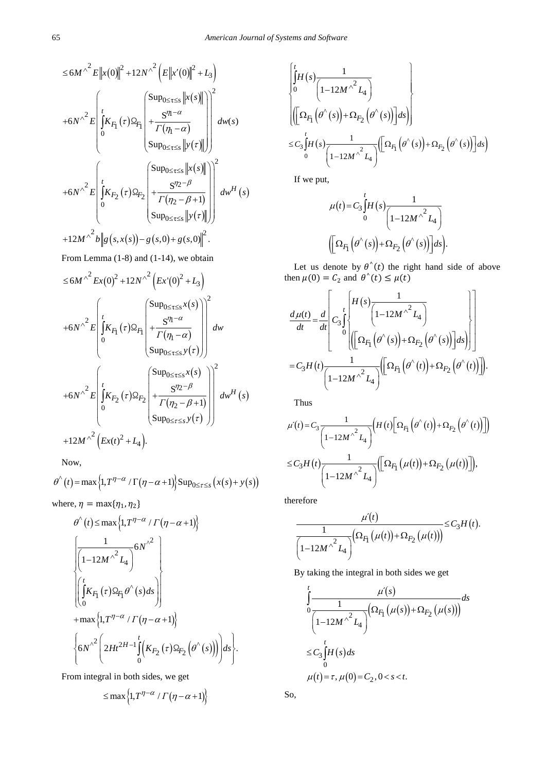$$
\leq 6M^{\wedge^2} E \left\|x(0)\right\|^2 + 12N^{\wedge^2} \left(E \left\|x'(0)\right\|^2 + L_3\right)
$$
  
+6N^{\wedge^2} E \left\| \int\_0^t K\_{F\_1}(\tau) \Omega\_{F\_1} \left( \frac{\sup\_{0 \leq \tau \leq s} \left\|x(s)\right\|}{\Gamma(\eta\_1 - \alpha)} \right) \right\|^2 d w(s)  
+6N^{\wedge^2} E \left\| \int\_0^t K\_{F\_2}(\tau) \Omega\_{F\_2} \left( \frac{\sup\_{0 \leq \tau \leq s} \left\|x(s)\right\|}{\Gamma(\eta\_2 - \beta + 1)} \right) \right\|^2 d w^H(s)  
+12M^{\wedge^2} b \left\| g\left(s, x(s)\right) - g\left(s, 0\right) + g\left(s, 0\right) \right\|^2.

From Lemma (1-8) and (1-14), we obtain\n
$$
\frac{1}{2} \int_{-\infty}^{\infty} f(x) \, dx
$$

$$
\leq 6M^{\wedge^2} E_x(0)^2 + 12N^{\wedge^2} \left( E_x(0)^2 + L_3 \right)
$$
  
+6N^{\wedge^2} E \left[ \int\_0^t K\_{F\_1}(\tau) \Omega\_{F\_1} \left( + \frac{S^{\eta\_1 - \alpha}}{\Gamma(\eta\_1 - \alpha)} \right) \right]\_0^t dw   
+6N^{\wedge^2} E \left[ \int\_0^t K\_{F\_2}(\tau) \Omega\_{F\_2} \left( + \frac{S^{\eta\_2 - \beta}}{\Gamma(\eta\_2 - \beta + 1)} \right) \right]\_0^t dw^H(s)  
+12M^{\wedge^2} E \left[ \int\_0^t K\_{F\_2}(\tau) \Omega\_{F\_2} \left( + \frac{S^{\eta\_2 - \beta}}{\Gamma(\eta\_2 - \beta + 1)} \right) \right]\_0^t dw^H(s)  
+12M^{\wedge^2} \left( E\_x(t)^2 + L\_4 \right).

Now,

$$
\theta^{(0)}(t) = \max\left\{1, T^{\eta-\alpha} / \Gamma(\eta-\alpha+1)\right\} \operatorname{Sup}_{0 \leq \tau \leq s} \left(x(s) + y(s)\right)
$$

where,  $\eta = \max\{\eta_1, \eta_2\}$ 

$$
\theta^{\wedge}(t) \leq \max\left\{1, T^{\eta-\alpha} / \Gamma(\eta-\alpha+1)\right\}
$$
\n
$$
\left[\frac{1}{\left(1-12M^{\wedge^2}L_4\right)} 6N^{\wedge^2}\right]
$$
\n
$$
\left[\frac{t}{\left(K_{F_1}(\tau)\Omega_{F_1}\theta^{\wedge}(s)ds\right)}\right]
$$
\n
$$
+\max\left\{1, T^{\eta-\alpha} / \Gamma(\eta-\alpha+1)\right\}
$$
\n
$$
\left\{6N^{\wedge2}\left(2Ht^{2H-1}\int_0^t \left(K_{F_2}(\tau)\Omega_{F_2}\left(\theta^{\wedge}(s)\right)\right)\right)ds\right\}.
$$

From integral in both sides, we get

$$
\leq \max\left\{1, T^{\eta-\alpha} / \Gamma(\eta-\alpha+1)\right\}
$$

$$
\begin{cases}\n\int_{0}^{t} H(s) \frac{1}{\left(1 - 12M^{\wedge^2} L_4\right)} \\
\left(\left[\Omega_{F_1}\left(\theta^{\wedge}(s)\right) + \Omega_{F_2}\left(\theta^{\wedge}(s)\right)\right] ds\right) \\
\leq C_3 \int_{0}^{t} H(s) \frac{1}{\left(1 - 12M^{\wedge^2} L_4\right)} \left(\left[\Omega_{F_1}\left(\theta^{\wedge}(s)\right) + \Omega_{F_2}\left(\theta^{\wedge}(s)\right)\right] ds\right)\n\end{cases}
$$

If we put,

$$
\mu(t) = C_3 \int_0^t H(s) \frac{1}{\left(1 - 12M\right)^2 L_4}
$$

$$
\left( \left[ \Omega_{F_1} \left( \theta^{\hat{}}(s) \right) + \Omega_{F_2} \left( \theta^{\hat{}}(s) \right) \right] ds \right).
$$

Let us denote by  $\theta^{\wedge}(t)$  the right hand side of above then  $\mu(0) = C_2$  and  $\theta^{\wedge}(t) \leq \mu(t)$ 

$$
\frac{d\mu(t)}{dt} = \frac{d}{dt} \left[ C_3 \int_0^t \left\{ H(s) \frac{1}{\left(1 - 12M^{\wedge^2} L_4\right)} \right\} \right]
$$
\n
$$
= C_3 H(t) \frac{1}{\left(1 - 12M^{\wedge^2} L_4\right)} \left[ \Omega_{F_1} \left(\theta^{\wedge}(s)\right) + \Omega_{F_2} \left(\theta^{\wedge}(s)\right) \right] ds \right]
$$
\n
$$
= C_3 H(t) \frac{1}{\left(1 - 12M^{\wedge^2} L_4\right)} \left[ \left[ \Omega_{F_1} \left(\theta^{\wedge}(t)\right) + \Omega_{F_2} \left(\theta^{\wedge}(t)\right) \right] \right].
$$

Thus

$$
\mu'(t) = C_3 \frac{1}{\left(1 - 12M^{\wedge^2} L_4\right)} \left(H(t) \left[\Omega_{F_1}\left(\theta^{\wedge}(t)\right) + \Omega_{F_2}\left(\theta^{\wedge}(t)\right)\right]\right)
$$
  

$$
\leq C_3 H(t) \frac{1}{\left(1 - 12M^{\wedge^2} L_4\right)} \left(\left[\Omega_{F_1}\left(\mu(t)\right) + \Omega_{F_2}\left(\mu(t)\right)\right]\right),
$$

therefore

$$
\frac{\mu'(t)}{\left(1-12M^{\wedge^2}L_4\right)}\leq C_3H(t).
$$

By taking the integral in both sides we get

$$
\int_{0}^{t} \frac{\mu(s)}{\left(1-12M\right)^{2}L_{4}}ds
$$
\n
$$
\leq C_{3}\int_{0}^{t}H(s)ds
$$
\n
$$
\mu(t)=\tau, \mu(0)=C_{2}, 0
$$

So,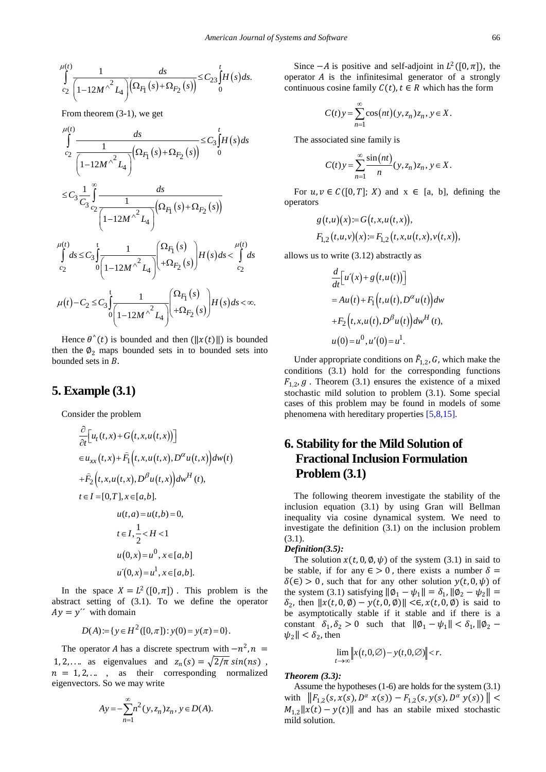$$
\int_{c_2}^{\mu(t)} \frac{1}{\left(1-12M^{\wedge^2}L_4\right)} \frac{ds}{\left(\Omega_{F_1}(s) + \Omega_{F_2}(s)\right)} \leq C_{23} \int_0^t H(s) ds.
$$

From theorem (3-1), we get

$$
\int_{c_2}^{\mu(t)} \frac{ds}{\sqrt{1 - 12M^2 L_4} \int_{c_2}^{\mu(t)} (\Omega_{F_1}(s) + \Omega_{F_2}(s))} \leq C_3 \int_0^t H(s) ds
$$
  

$$
\leq C_3 \frac{1}{C_3} \int_0^{\infty} \frac{ds}{\sqrt{1 - 12M^2 L_4}} \sqrt{\Omega_{F_1}(s) + \Omega_{F_2}(s)}
$$
  

$$
\int_{c_2}^{\mu(t)} ds \leq C_3 \int_0^t \frac{1}{\sqrt{1 - 12M^2 L_4}} \sqrt{\Omega_{F_1}(s) + \Omega_{F_2}(s)} H(s) ds < \int_{c_2}^{\mu(t)} ds
$$
  

$$
\mu(t) - C_2 \leq C_3 \int_0^t \frac{1}{\sqrt{1 - 12M^2 L_4}} \sqrt{\Omega_{F_1}(s) + \Omega_{F_2}(s)} H(s) ds < \infty.
$$

Hence  $\theta^{\wedge}(t)$  is bounded and then  $(||x(t)||)$  is bounded then the  $\phi_2$  maps bounded sets in to bounded sets into bounded sets in  $B$ .

### **5. Example (3.1)**

Consider the problem

$$
\frac{\partial}{\partial t} \Big[ u_t(t, x) + G(t, x, u(t, x)) \Big] \n\in u_{xx}(t, x) + \widehat{F}_1(t, x, u(t, x), D^{\alpha} u(t, x)) dw(t) \n+ \widehat{F}_2(t, x, u(t, x), D^{\beta} u(t, x)) dw^H(t), \nt \in I = [0, T], x \in [a, b]. \nu(t, a) = u(t, b) = 0, \nt \in I, \frac{1}{2} < H < 1 \nu(0, x) = u^0, x \in [a, b]
$$
   
\nu'(0, x) = u^1, x \in [a, b].

In the space  $X = L^2([0, \pi])$ . This problem is the abstract setting of (3.1). To we define the operator  $Ay = y''$  with domain

$$
D(A) := \{ y \in H^2([0, \pi]) : y(0) = y(\pi) = 0 \}.
$$

The operator *A* has a discrete spectrum with  $-n^2$ ,  $n =$ 1, 2,.... as eigenvalues and  $z_n(s) = \sqrt{\frac{2}{\pi}} \sin(ns)$ ,  $n = 1, 2, \ldots$ , as their corresponding normalized eigenvectors. So we may write

$$
Ay = -\sum_{n=1}^{\infty} n^2(y, z_n) z_n, y \in D(A).
$$

Since  $-A$  is positive and self-adjoint in  $L^2([0, \pi])$ , the operator  $A$  is the infinitesimal generator of a strongly continuous cosine family  $C(t)$ ,  $t \in R$  which has the form

$$
C(t)y = \sum_{n=1}^{\infty} \cos(nt)(y, z_n) z_n, y \in X.
$$

The associated sine family is

$$
C(t)y = \sum_{n=1}^{\infty} \frac{\sin(nt)}{n} (y, z_n) z_n, y \in X.
$$

For  $u, v \in C([0, T]; X)$  and  $x \in [a, b]$ , defining the operators

$$
g(t,u)(x) := G(t,x,u(t,x)),
$$
  
\n
$$
F_{1,2}(t,u,v)(x) := F_{1,2}(t,x,u(t,x),v(t,x)),
$$

allows us to write (3.12) abstractly as

$$
\frac{d}{dt} \Big[ u'(x) + g(t, u(t)) \Big] \n= Au(t) + F_1(t, u(t), D^{\alpha} u(t)) dw \n+ F_2(t, x, u(t), D^{\beta} u(t)) dw^H(t), \nu(0) = u^0, u'(0) = u^1.
$$

Under appropriate conditions on  $F_{1,2}$ , G, which make the conditions (3.1) hold for the corresponding functions  $F_{1,2}$ , g. Theorem (3.1) ensures the existence of a mixed stochastic mild solution to problem (3.1). Some special cases of this problem may be found in models of some phenomena with hereditary propertie[s \[5,8,15\].](#page-10-11)

# **6. Stability for the Mild Solution of Fractional Inclusion Formulation Problem (3.1)**

The following theorem investigate the stability of the inclusion equation (3.1) by using Gran will Bellman inequality via cosine dynamical system. We need to investigate the definition (3.1) on the inclusion problem (3.1).

#### *Definition(3.5):*

The solution  $x(t, 0, \emptyset, \psi)$  of the system (3.1) in said to be stable, if for any  $\epsilon > 0$ , there exists a number  $\delta =$  $\delta(\epsilon) > 0$ , such that for any other solution  $y(t, 0, \psi)$  of the system (3.1) satisfying  $\|\phi_1 - \psi_1\| = \delta_1$ ,  $\|\phi_2 - \psi_2\|$  =  $\delta_2$ , then  $||x(t, 0, \emptyset) - y(t, 0, \emptyset)|| \leq \epsilon$ ,  $x(t, 0, \emptyset)$  is said to be asymptotically stable if it stable and if there is a constant  $\delta_1, \delta_2 > 0$  such that  $\|\phi_1 - \psi_1\| < \delta_1, \|\phi_2 - \phi_1\|$  $|\psi_2| < \delta_2$ , then

$$
\lim_{t\to\infty}\Bigl\|x(t,0,\varnothing)-y(t,0,\varnothing)\Bigr\|
$$

*Theorem (3.3):*

Assume the hypotheses (1-6) are holds for the system (3.1) with  $\|F_{1,2}(s, x(s), D^{\alpha} x(s)) - F_{1,2}(s, y(s), D^{\alpha} y(s))\|$  <  $M_{1,2}||x(t) - y(t)||$  and has an stabile mixed stochastic mild solution.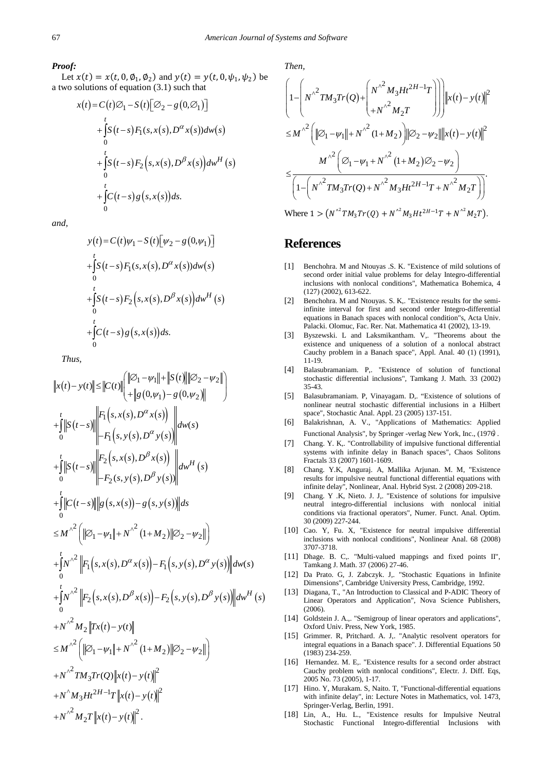#### *Proof:*

Let  $x(t) = x(t, 0, \emptyset_1, \emptyset_2)$  and  $y(t) = y(t, 0, \psi_1, \psi_2)$  be a two solutions of equation (3.1) such that

$$
x(t) = C(t)\varnothing_1 - S(t)[\varnothing_2 - g(0,\varnothing_1)]
$$
  
+ 
$$
\int_0^t S(t-s) F_1(s, x(s), D^{\alpha} x(s)) dw(s)
$$
  
+ 
$$
\int_0^t S(t-s) F_2(s, x(s), D^{\beta} x(s)) dw^H(s)
$$
  
+ 
$$
\int_0^t C(t-s) g(s, x(s)) ds.
$$

*and,*

$$
y(t) = C(t)\psi_1 - S(t)[\psi_2 - g(0,\psi_1)]
$$
  
+ 
$$
\int_0^t S(t-s) F_1(s, x(s), D^{\alpha} x(s)) dw(s)
$$
  
+ 
$$
\int_0^t S(t-s) F_2(s, x(s), D^{\beta} x(s)) dw^H(s)
$$
  
+ 
$$
\int_0^t C(t-s) g(s, x(s)) ds.
$$

*Thus,* 

$$
||x(t)-y(t)|| \le ||C(t)|| \t{||\mathcal{O}_1 - \psi_1|| + ||S(t)|| ||\mathcal{O}_2 - \psi_2||}
$$
  
+  $\int_{0}^{t} ||S(t-s)|| \t{||r||_{s}(s,x(s),D^{\alpha}x(s))}$   
+  $\int_{0}^{t} ||S(t-s)|| \t{||r||_{s}(s,x(s),D^{\alpha}y(s))}$   
+  $\int_{0}^{t} ||S(t-s)|| \t{||r||_{s}(s,x(s),D^{\beta}y(s))}$   
+  $\int_{0}^{t} ||S(t-s)|| \t{||r||_{s}(s,x(s),D^{\beta}y(s))}$   
+  $\int_{0}^{t} ||C(t-s)|| ||g(s,x(s)) - g(s,y(s))|| ds$   
 $\le M^{\lambda^2} (||\mathcal{O}_1 - \psi_1|| + N^{\lambda^2} (1+M_2)||\mathcal{O}_2 - \psi_2||)$   
+  $\int_{0}^{t} N^{\lambda^2} ||F_1(s,x(s),D^{\alpha}x(s)) - F_1(s,y(s),D^{\alpha}y(s))|| dw(s)$   
+  $\int_{0}^{t} N^{\lambda^2} ||F_2(s,x(s),D^{\beta}x(s)) - F_2(s,y(s),D^{\beta}y(s))|| dw^H(s)$   
+  $N^{\lambda^2} M_2 ||Tx(t) - y(t)||$   
 $\le M^{\lambda^2} (||\mathcal{O}_1 - \psi_1|| + N^{\lambda^2} (1+M_2)||\mathcal{O}_2 - \psi_2||)$   
+  $N^{\lambda^2} TM_3 Tr(Q||x(t) - y(t)||^2$   
+  $N^{\lambda^2} M_2 T ||x(t) - y(t)||^2$ .

*Then,*

$$
\left(1 - \left(N^{\wedge^2}TM_3Tr(Q) + \left(N^{\wedge^2}M_3Ht^{2H-1}T\right)\right)\right)\left\|x(t) - y(t)\right\|^2
$$
  
\n
$$
\leq M^{\wedge^2} \left(\left\|\mathcal{D}_1 - \psi_1\right\| + N^{\wedge^2}(1+M_2)\right)\left\|\mathcal{D}_2 - \psi_2\right\| \left\|x(t) - y(t)\right\|^2
$$
  
\n
$$
\leq M^{\wedge^2} \left(\mathcal{D}_1 - \psi_1 + N^{\wedge^2}(1+M_2)\mathcal{D}_2 - \psi_2\right)
$$
  
\n
$$
\leq \frac{M^{\wedge^2} \left(\mathcal{D}_1 - \psi_1 + N^{\wedge^2}(1+M_2)\mathcal{D}_2 - \psi_2\right)}{\left(1 - \left(N^{\wedge^2}TM_3Tr(Q) + N^{\wedge^2}M_3Ht^{2H-1}T + N^{\wedge^2}M_2T\right)\right)}.
$$
  
\nWhere  $1 > (N^{\wedge^2}TM_3Tr(Q) + N^{\wedge^2}M_3Ht^{2H-1}T + N^{\wedge^2}M_2T).$ 

### **References**

- <span id="page-10-0"></span>[1] Benchohra. M and Ntouyas .S. K. "Existence of mild solutions of second order initial value problems for delay Integro-differential inclusions with nonlocal conditions", Mathematica Bohemica, 4 (127) (2002), 613-622.
- [2] Benchohra. M and Ntouyas. S. K,. "Existence results for the semiinfinite interval for first and second order Integro-differential equations in Banach spaces with nonlocal condition"s, Acta Univ. Palacki. Olomuc, Fac. Rer. Nat. Mathematica 41 (2002), 13-19.
- [3] Byszewski. L and Laksmikantham. V,. "Theorems about the existence and uniqueness of a solution of a nonlocal abstract Cauchy problem in a Banach space", Appl. Anal. 40 (1) (1991), 11-19.
- <span id="page-10-2"></span>[4] Balasubramaniam. P,. "Existence of solution of functional stochastic differential inclusions", Tamkang J. Math. 33 (2002) 35-43.
- <span id="page-10-11"></span>[5] Balasubramaniam. P, Vinayagam. D,. "Existence of solutions of nonlinear neutral stochastic differential inclusions in a Hilbert space", Stochastic Anal. Appl. 23 (2005) 137-151.
- <span id="page-10-9"></span>[6] Balakrishnan, A. V., "Applications of Mathematics: Applied Functional Analysis", by Springer -verlag New York, Inc., (1976).
- <span id="page-10-1"></span>[7] Chang. Y. K,. "Controllability of impulsive functional differential systems with infinite delay in Banach spaces", Chaos Solitons Fractals 33 (2007) 1601-1609.
- [8] Chang. Y.K, Anguraj. A, Mallika Arjunan. M. M, "Existence results for impulsive neutral functional differential equations with infinite delay", Nonlinear, Anal. Hybrid Syst. 2 (2008) 209-218.
- <span id="page-10-6"></span>[9] Chang. Y .K, Nieto. J. J,. "Existence of solutions for impulsive neutral integro-differential inclusions with nonlocal initial conditions via fractional operators", Numer. Funct. Anal. Optim. 30 (2009) 227-244.
- [10] Cao. Y, Fu. X, "Existence for neutral impulsive differential inclusions with nonlocal conditions", Nonlinear Anal. 68 (2008) 3707-3718.
- <span id="page-10-5"></span>[11] Dhage. B. C,. "Multi-valued mappings and fixed points II", Tamkang J. Math. 37 (2006) 27-46.
- <span id="page-10-7"></span>[12] Da Prato. G, J. Zabczyk. J,. "Stochastic Equations in Infinite Dimensions", Cambridge University Press, Cambridge, 1992.
- [13] Diagana, T., "An Introduction to Classical and P-ADIC Theory of Linear Operators and Application", Nova Science Publishers, (2006).
- <span id="page-10-10"></span>[14] Goldstein J. A.,. "Semigroup of linear operators and applications", Oxford Univ. Press, New York, 1985.
- <span id="page-10-3"></span>[15] Grimmer. R, Pritchard. A. J,. "Analytic resolvent operators for integral equations in a Banach space". J. Differential Equations 50 (1983) 234-259.
- [16] Hernandez. M. E., "Existence results for a second order abstract Cauchy problem with nonlocal conditions", Electr. J. Diff. Eqs, 2005 No. 73 (2005), 1-17.
- <span id="page-10-4"></span>[17] Hino. Y, Murakam. S, Naito. T, "Functional-differential equations with infinite delay", in: Lecture Notes in Mathematics, vol. 1473, Springer-Verlag, Berlin, 1991.
- <span id="page-10-8"></span>[18] Lin, A., Hu. L., "Existence results for Impulsive Neutral Stochastic Functional Integro-differential Inclusions with